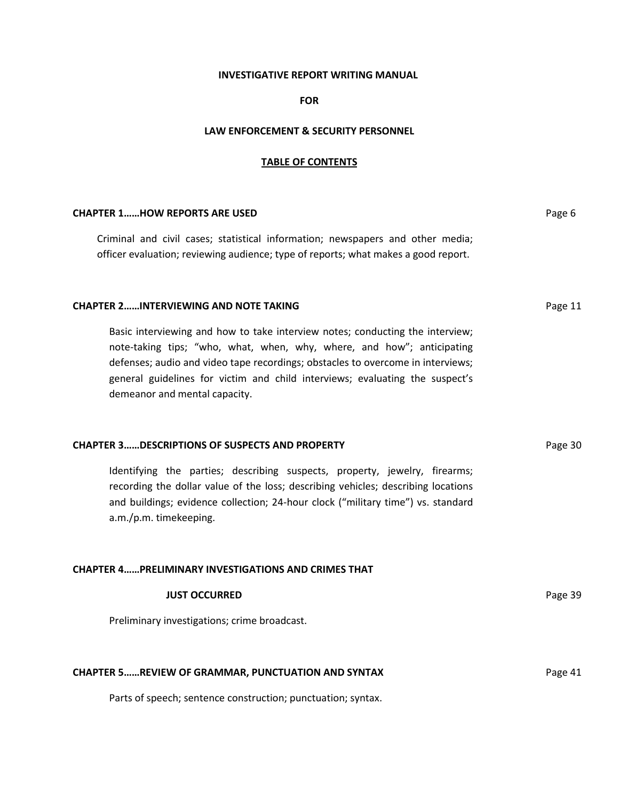#### **INVESTIGATIVE REPORT WRITING MANUAL**

### **FOR**

#### **LAW ENFORCEMENT & SECURITY PERSONNEL**

#### **TABLE OF CONTENTS**

#### **CHAPTER 1……HOW REPORTS ARE USED Page 6 Page 6 Page 6 Page 6 Page 6 Page 6 Page 6 Page 6 Page 6 Page 6**

Criminal and civil cases; statistical information; newspapers and other media; officer evaluation; reviewing audience; type of reports; what makes a good report.

#### **CHAPTER 2......INTERVIEWING AND NOTE TAKING Page 11**

Basic interviewing and how to take interview notes; conducting the interview; note-taking tips; "who, what, when, why, where, and how"; anticipating defenses; audio and video tape recordings; obstacles to overcome in interviews; general guidelines for victim and child interviews; evaluating the suspect's demeanor and mental capacity.

#### **CHAPTER 3......DESCRIPTIONS OF SUSPECTS AND PROPERTY <b>Page 30** Page 30

Identifying the parties; describing suspects, property, jewelry, firearms; recording the dollar value of the loss; describing vehicles; describing locations and buildings; evidence collection; 24-hour clock ("military time") vs. standard a.m./p.m. timekeeping.

## **CHAPTER 4……PRELIMINARY INVESTIGATIONS AND CRIMES THAT**

| <b>JUST OCCURRED</b>                         | Page 39 |
|----------------------------------------------|---------|
| Preliminary investigations; crime broadcast. |         |

#### **CHAPTER 5……REVIEW OF GRAMMAR, PUNCTUATION AND SYNTAX** PARTICLE AND STATES FOR Page 41

Parts of speech; sentence construction; punctuation; syntax.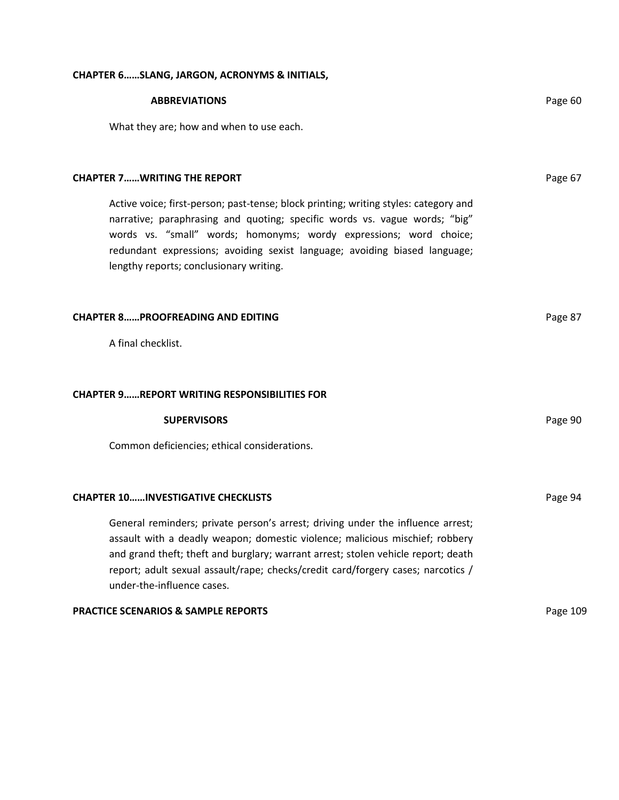# **CHAPTER 6……SLANG, JARGON, ACRONYMS & INITIALS,**

| <b>ABBREVIATIONS</b>                                                                                                                                                                                                                                                                                                                                                   | Page 60  |
|------------------------------------------------------------------------------------------------------------------------------------------------------------------------------------------------------------------------------------------------------------------------------------------------------------------------------------------------------------------------|----------|
| What they are; how and when to use each.                                                                                                                                                                                                                                                                                                                               |          |
|                                                                                                                                                                                                                                                                                                                                                                        |          |
| <b>CHAPTER 7WRITING THE REPORT</b>                                                                                                                                                                                                                                                                                                                                     | Page 67  |
| Active voice; first-person; past-tense; block printing; writing styles: category and<br>narrative; paraphrasing and quoting; specific words vs. vague words; "big"<br>words vs. "small" words; homonyms; wordy expressions; word choice;<br>redundant expressions; avoiding sexist language; avoiding biased language;<br>lengthy reports; conclusionary writing.      |          |
| <b>CHAPTER 8PROOFREADING AND EDITING</b>                                                                                                                                                                                                                                                                                                                               | Page 87  |
| A final checklist.                                                                                                                                                                                                                                                                                                                                                     |          |
|                                                                                                                                                                                                                                                                                                                                                                        |          |
| <b>CHAPTER 9REPORT WRITING RESPONSIBILITIES FOR</b>                                                                                                                                                                                                                                                                                                                    |          |
| <b>SUPERVISORS</b>                                                                                                                                                                                                                                                                                                                                                     | Page 90  |
| Common deficiencies; ethical considerations.                                                                                                                                                                                                                                                                                                                           |          |
|                                                                                                                                                                                                                                                                                                                                                                        |          |
| <b>CHAPTER 10INVESTIGATIVE CHECKLISTS</b>                                                                                                                                                                                                                                                                                                                              | Page 94  |
| General reminders; private person's arrest; driving under the influence arrest;<br>assault with a deadly weapon; domestic violence; malicious mischief; robbery<br>and grand theft; theft and burglary; warrant arrest; stolen vehicle report; death<br>report; adult sexual assault/rape; checks/credit card/forgery cases; narcotics /<br>under-the-influence cases. |          |
| <b>PRACTICE SCENARIOS &amp; SAMPLE REPORTS</b>                                                                                                                                                                                                                                                                                                                         | Page 109 |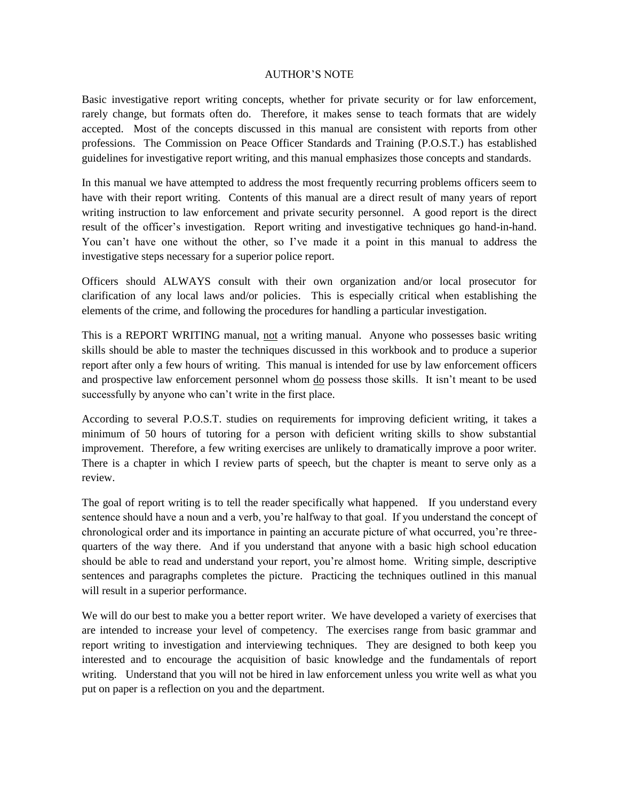### AUTHOR'S NOTE

Basic investigative report writing concepts, whether for private security or for law enforcement, rarely change, but formats often do. Therefore, it makes sense to teach formats that are widely accepted. Most of the concepts discussed in this manual are consistent with reports from other professions. The Commission on Peace Officer Standards and Training (P.O.S.T.) has established guidelines for investigative report writing, and this manual emphasizes those concepts and standards.

In this manual we have attempted to address the most frequently recurring problems officers seem to have with their report writing. Contents of this manual are a direct result of many years of report writing instruction to law enforcement and private security personnel. A good report is the direct result of the officer's investigation. Report writing and investigative techniques go hand-in-hand. You can't have one without the other, so I've made it a point in this manual to address the investigative steps necessary for a superior police report.

Officers should ALWAYS consult with their own organization and/or local prosecutor for clarification of any local laws and/or policies. This is especially critical when establishing the elements of the crime, and following the procedures for handling a particular investigation.

This is a REPORT WRITING manual, not a writing manual. Anyone who possesses basic writing skills should be able to master the techniques discussed in this workbook and to produce a superior report after only a few hours of writing. This manual is intended for use by law enforcement officers and prospective law enforcement personnel whom do possess those skills. It isn't meant to be used successfully by anyone who can't write in the first place.

According to several P.O.S.T. studies on requirements for improving deficient writing, it takes a minimum of 50 hours of tutoring for a person with deficient writing skills to show substantial improvement. Therefore, a few writing exercises are unlikely to dramatically improve a poor writer. There is a chapter in which I review parts of speech, but the chapter is meant to serve only as a review.

The goal of report writing is to tell the reader specifically what happened. If you understand every sentence should have a noun and a verb, you're halfway to that goal. If you understand the concept of chronological order and its importance in painting an accurate picture of what occurred, you're threequarters of the way there. And if you understand that anyone with a basic high school education should be able to read and understand your report, you're almost home. Writing simple, descriptive sentences and paragraphs completes the picture. Practicing the techniques outlined in this manual will result in a superior performance.

We will do our best to make you a better report writer. We have developed a variety of exercises that are intended to increase your level of competency. The exercises range from basic grammar and report writing to investigation and interviewing techniques. They are designed to both keep you interested and to encourage the acquisition of basic knowledge and the fundamentals of report writing. Understand that you will not be hired in law enforcement unless you write well as what you put on paper is a reflection on you and the department.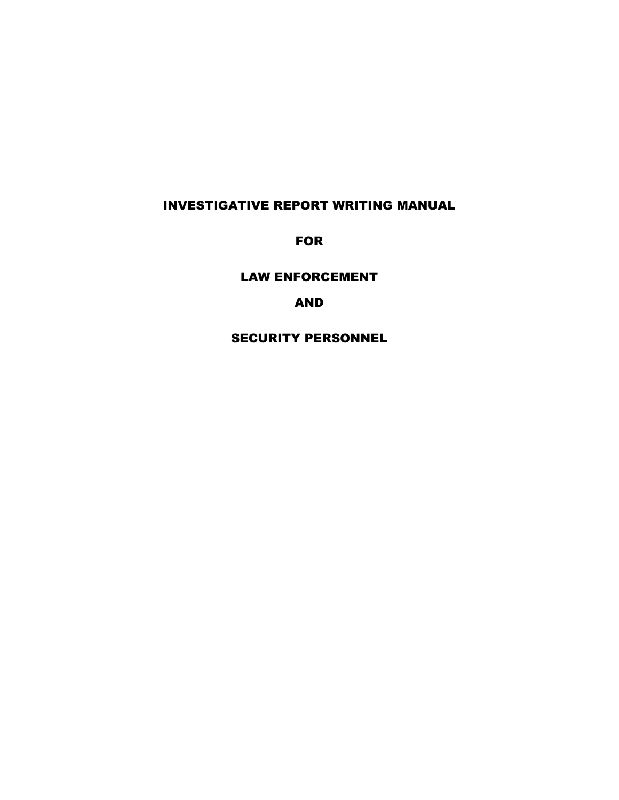# INVESTIGATIVE REPORT WRITING MANUAL

**FOR** 

LAW ENFORCEMENT

AND

SECURITY PERSONNEL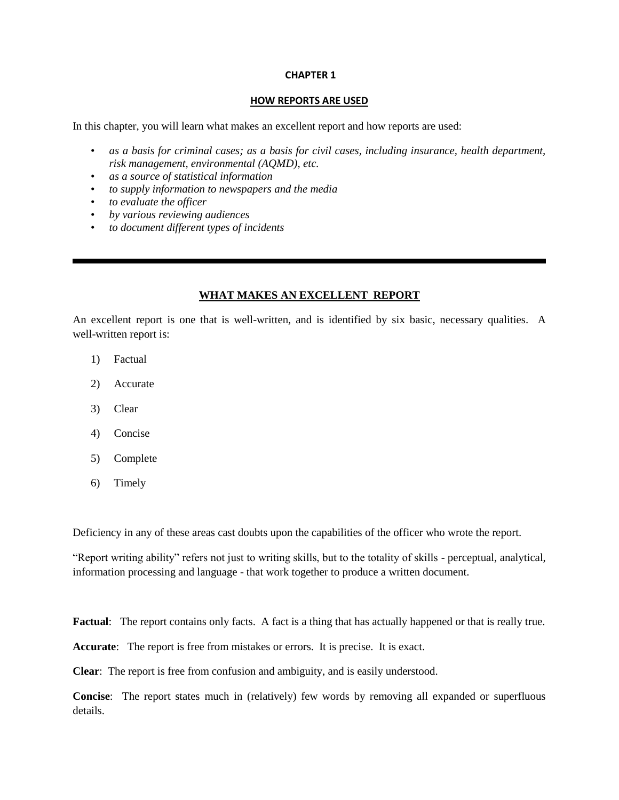#### **CHAPTER 1**

#### **HOW REPORTS ARE USED**

In this chapter, you will learn what makes an excellent report and how reports are used:

- *as a basis for criminal cases; as a basis for civil cases, including insurance, health department, risk management, environmental (AQMD)*, *etc.*
- *as a source of statistical information*
- *to supply information to newspapers and the media*
- *to evaluate the officer*
- *by various reviewing audiences*
- *to document different types of incidents*

## **WHAT MAKES AN EXCELLENT REPORT**

An excellent report is one that is well-written, and is identified by six basic, necessary qualities. A well-written report is:

- 1) Factual
- 2) Accurate
- 3) Clear
- 4) Concise
- 5) Complete
- 6) Timely

Deficiency in any of these areas cast doubts upon the capabilities of the officer who wrote the report.

"Report writing ability" refers not just to writing skills, but to the totality of skills - perceptual, analytical, information processing and language - that work together to produce a written document.

Factual: The report contains only facts. A fact is a thing that has actually happened or that is really true.

**Accurate**: The report is free from mistakes or errors. It is precise. It is exact.

**Clear**: The report is free from confusion and ambiguity, and is easily understood.

**Concise**: The report states much in (relatively) few words by removing all expanded or superfluous details.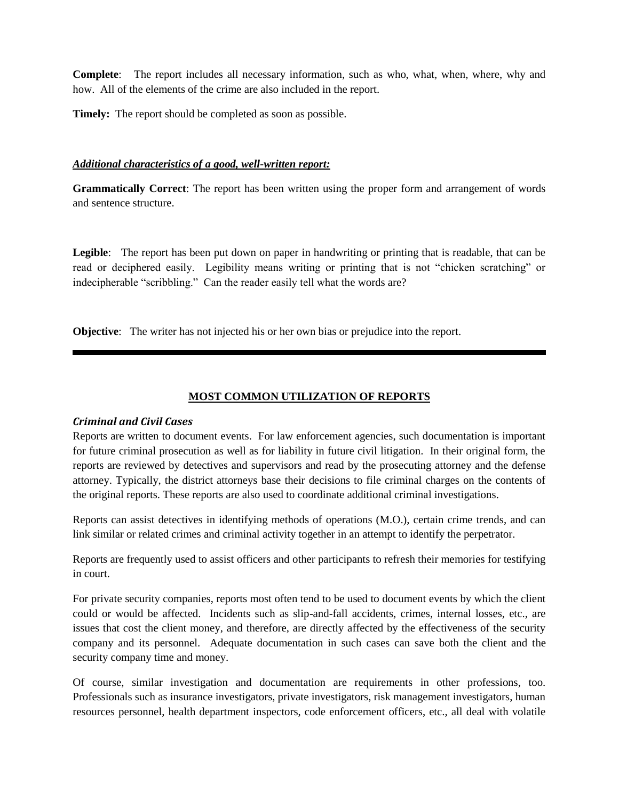**Complete**: The report includes all necessary information, such as who, what, when, where, why and how. All of the elements of the crime are also included in the report.

**Timely:** The report should be completed as soon as possible.

## *Additional characteristics of a good, well-written report:*

**Grammatically Correct**: The report has been written using the proper form and arrangement of words and sentence structure.

Legible: The report has been put down on paper in handwriting or printing that is readable, that can be read or deciphered easily. Legibility means writing or printing that is not "chicken scratching" or indecipherable "scribbling." Can the reader easily tell what the words are?

**Objective**: The writer has not injected his or her own bias or prejudice into the report.

## **MOST COMMON UTILIZATION OF REPORTS**

## *Criminal and Civil Cases*

Reports are written to document events. For law enforcement agencies, such documentation is important for future criminal prosecution as well as for liability in future civil litigation. In their original form, the reports are reviewed by detectives and supervisors and read by the prosecuting attorney and the defense attorney. Typically, the district attorneys base their decisions to file criminal charges on the contents of the original reports. These reports are also used to coordinate additional criminal investigations.

Reports can assist detectives in identifying methods of operations (M.O.), certain crime trends, and can link similar or related crimes and criminal activity together in an attempt to identify the perpetrator.

Reports are frequently used to assist officers and other participants to refresh their memories for testifying in court.

For private security companies, reports most often tend to be used to document events by which the client could or would be affected. Incidents such as slip-and-fall accidents, crimes, internal losses, etc., are issues that cost the client money, and therefore, are directly affected by the effectiveness of the security company and its personnel. Adequate documentation in such cases can save both the client and the security company time and money.

Of course, similar investigation and documentation are requirements in other professions, too. Professionals such as insurance investigators, private investigators, risk management investigators, human resources personnel, health department inspectors, code enforcement officers, etc., all deal with volatile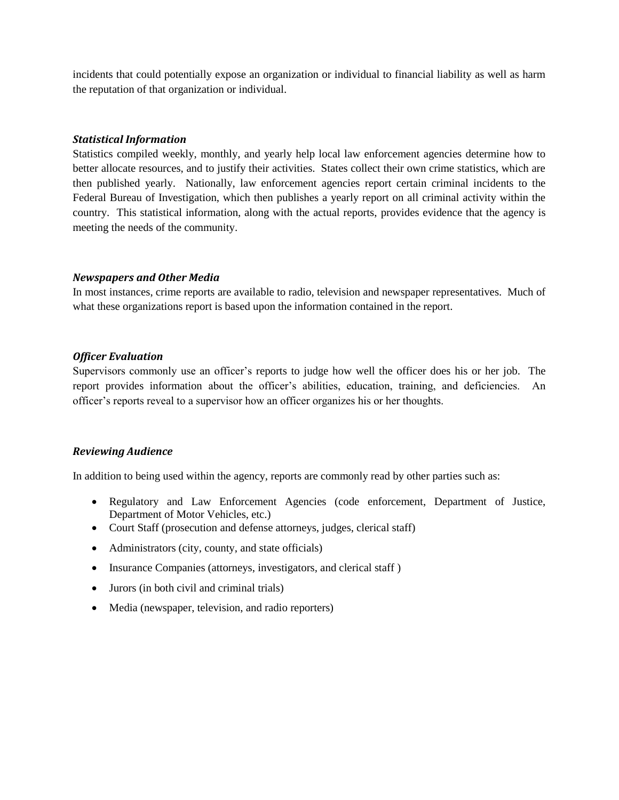incidents that could potentially expose an organization or individual to financial liability as well as harm the reputation of that organization or individual.

## *Statistical Information*

Statistics compiled weekly, monthly, and yearly help local law enforcement agencies determine how to better allocate resources, and to justify their activities. States collect their own crime statistics, which are then published yearly. Nationally, law enforcement agencies report certain criminal incidents to the Federal Bureau of Investigation, which then publishes a yearly report on all criminal activity within the country. This statistical information, along with the actual reports, provides evidence that the agency is meeting the needs of the community.

## *Newspapers and Other Media*

In most instances, crime reports are available to radio, television and newspaper representatives. Much of what these organizations report is based upon the information contained in the report.

## *Officer Evaluation*

Supervisors commonly use an officer's reports to judge how well the officer does his or her job. The report provides information about the officer's abilities, education, training, and deficiencies. An officer's reports reveal to a supervisor how an officer organizes his or her thoughts.

## *Reviewing Audience*

In addition to being used within the agency, reports are commonly read by other parties such as:

- Regulatory and Law Enforcement Agencies (code enforcement, Department of Justice, Department of Motor Vehicles, etc.)
- Court Staff (prosecution and defense attorneys, judges, clerical staff)
- Administrators (city, county, and state officials)
- Insurance Companies (attorneys, investigators, and clerical staff)
- Jurors (in both civil and criminal trials)
- Media (newspaper, television, and radio reporters)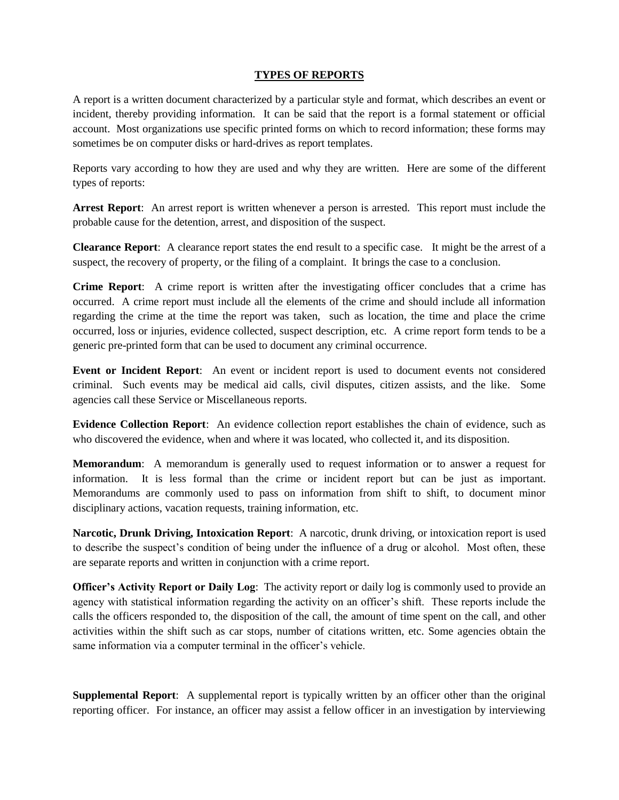## **TYPES OF REPORTS**

A report is a written document characterized by a particular style and format, which describes an event or incident, thereby providing information. It can be said that the report is a formal statement or official account. Most organizations use specific printed forms on which to record information; these forms may sometimes be on computer disks or hard-drives as report templates.

Reports vary according to how they are used and why they are written. Here are some of the different types of reports:

**Arrest Report**: An arrest report is written whenever a person is arrested. This report must include the probable cause for the detention, arrest, and disposition of the suspect.

**Clearance Report**: A clearance report states the end result to a specific case. It might be the arrest of a suspect, the recovery of property, or the filing of a complaint. It brings the case to a conclusion.

**Crime Report**: A crime report is written after the investigating officer concludes that a crime has occurred. A crime report must include all the elements of the crime and should include all information regarding the crime at the time the report was taken, such as location, the time and place the crime occurred, loss or injuries, evidence collected, suspect description, etc. A crime report form tends to be a generic pre-printed form that can be used to document any criminal occurrence.

**Event or Incident Report**: An event or incident report is used to document events not considered criminal. Such events may be medical aid calls, civil disputes, citizen assists, and the like. Some agencies call these Service or Miscellaneous reports.

**Evidence Collection Report**: An evidence collection report establishes the chain of evidence, such as who discovered the evidence, when and where it was located, who collected it, and its disposition.

**Memorandum**: A memorandum is generally used to request information or to answer a request for information. It is less formal than the crime or incident report but can be just as important. Memorandums are commonly used to pass on information from shift to shift, to document minor disciplinary actions, vacation requests, training information, etc.

**Narcotic, Drunk Driving, Intoxication Report**: A narcotic, drunk driving, or intoxication report is used to describe the suspect's condition of being under the influence of a drug or alcohol. Most often, these are separate reports and written in conjunction with a crime report.

**Officer's Activity Report or Daily Log**: The activity report or daily log is commonly used to provide an agency with statistical information regarding the activity on an officer's shift. These reports include the calls the officers responded to, the disposition of the call, the amount of time spent on the call, and other activities within the shift such as car stops, number of citations written, etc. Some agencies obtain the same information via a computer terminal in the officer's vehicle.

**Supplemental Report**: A supplemental report is typically written by an officer other than the original reporting officer. For instance, an officer may assist a fellow officer in an investigation by interviewing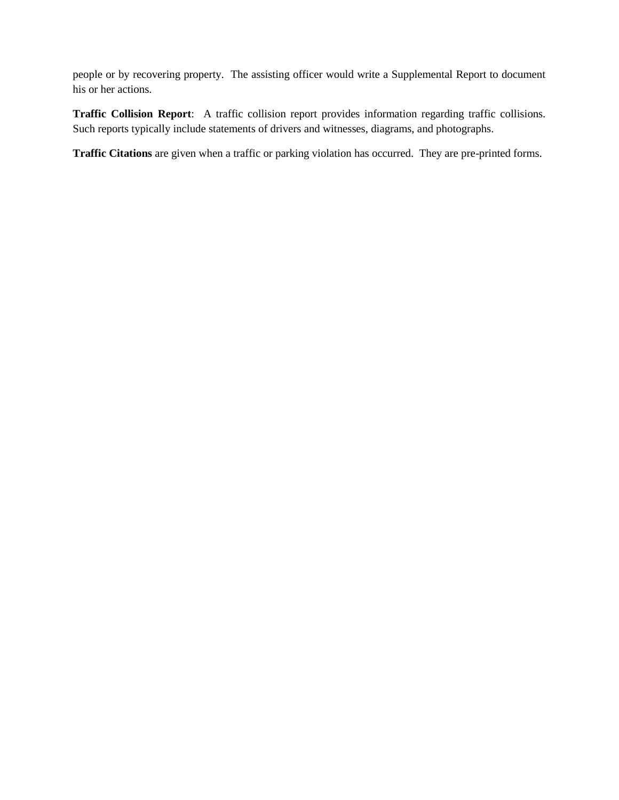people or by recovering property. The assisting officer would write a Supplemental Report to document his or her actions.

**Traffic Collision Report**: A traffic collision report provides information regarding traffic collisions. Such reports typically include statements of drivers and witnesses, diagrams, and photographs.

**Traffic Citations** are given when a traffic or parking violation has occurred. They are pre-printed forms.